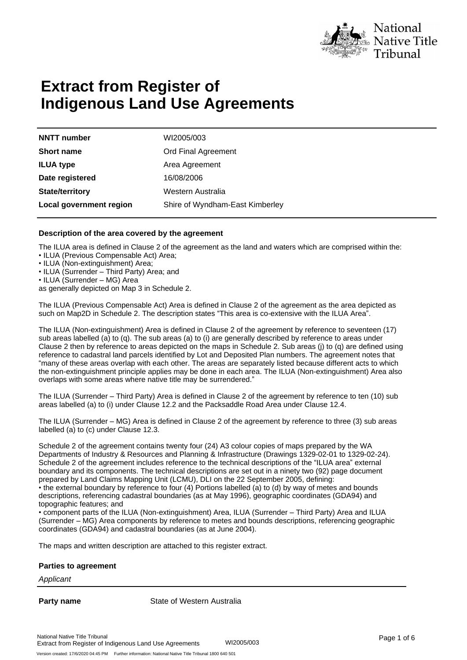

# **Extract from Register of Indigenous Land Use Agreements**

**NNTT number** WI2005/003 **Short name** Ord Final Agreement **ILUA type** Area Agreement **Date registered** 16/08/2006 **State/territory** Western Australia

**Local government region** Shire of Wyndham-East Kimberley

### **Description of the area covered by the agreement**

The ILUA area is defined in Clause 2 of the agreement as the land and waters which are comprised within the:

- ILUA (Previous Compensable Act) Area;
- ILUA (Non-extinguishment) Area;
- ILUA (Surrender Third Party) Area; and
- ILUA (Surrender MG) Area

as generally depicted on Map 3 in Schedule 2.

The ILUA (Previous Compensable Act) Area is defined in Clause 2 of the agreement as the area depicted as such on Map2D in Schedule 2. The description states "This area is co-extensive with the ILUA Area".

The ILUA (Non-extinguishment) Area is defined in Clause 2 of the agreement by reference to seventeen (17) sub areas labelled (a) to (q). The sub areas (a) to (i) are generally described by reference to areas under Clause 2 then by reference to areas depicted on the maps in Schedule 2. Sub areas (j) to (q) are defined using reference to cadastral land parcels identified by Lot and Deposited Plan numbers. The agreement notes that "many of these areas overlap with each other. The areas are separately listed because different acts to which the non-extinguishment principle applies may be done in each area. The ILUA (Non-extinguishment) Area also overlaps with some areas where native title may be surrendered."

The ILUA (Surrender – Third Party) Area is defined in Clause 2 of the agreement by reference to ten (10) sub areas labelled (a) to (i) under Clause 12.2 and the Packsaddle Road Area under Clause 12.4.

The ILUA (Surrender – MG) Area is defined in Clause 2 of the agreement by reference to three (3) sub areas labelled (a) to (c) under Clause 12.3.

Schedule 2 of the agreement contains twenty four (24) A3 colour copies of maps prepared by the WA Departments of Industry & Resources and Planning & Infrastructure (Drawings 1329-02-01 to 1329-02-24). Schedule 2 of the agreement includes reference to the technical descriptions of the "ILUA area" external boundary and its components. The technical descriptions are set out in a ninety two (92) page document prepared by Land Claims Mapping Unit (LCMU), DLI on the 22 September 2005, defining:

• the external boundary by reference to four (4) Portions labelled (a) to (d) by way of metes and bounds descriptions, referencing cadastral boundaries (as at May 1996), geographic coordinates (GDA94) and topographic features; and

• component parts of the ILUA (Non-extinguishment) Area, ILUA (Surrender – Third Party) Area and ILUA (Surrender – MG) Area components by reference to metes and bounds descriptions, referencing geographic coordinates (GDA94) and cadastral boundaries (as at June 2004).

The maps and written description are attached to this register extract.

### **Parties to agreement**

**Applicant** 

**Party name State of Western Australia**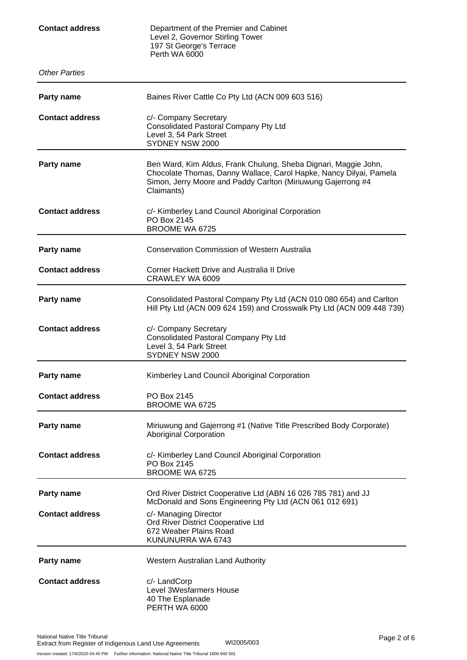| <b>Contact address</b> | Department of the Premier and Cabinet<br>Level 2, Governor Stirling Tower<br>197 St George's Terrace<br>Perth WA 6000                                                                                               |
|------------------------|---------------------------------------------------------------------------------------------------------------------------------------------------------------------------------------------------------------------|
| <b>Other Parties</b>   |                                                                                                                                                                                                                     |
| Party name             | Baines River Cattle Co Pty Ltd (ACN 009 603 516)                                                                                                                                                                    |
| <b>Contact address</b> | c/- Company Secretary<br><b>Consolidated Pastoral Company Pty Ltd</b><br>Level 3, 54 Park Street<br>SYDNEY NSW 2000                                                                                                 |
| Party name             | Ben Ward, Kim Aldus, Frank Chulung, Sheba Dignari, Maggie John,<br>Chocolate Thomas, Danny Wallace, Carol Hapke, Nancy Dilyai, Pamela<br>Simon, Jerry Moore and Paddy Carlton (Miriuwung Gajerrong #4<br>Claimants) |
| <b>Contact address</b> | c/- Kimberley Land Council Aboriginal Corporation<br>PO Box 2145<br><b>BROOME WA 6725</b>                                                                                                                           |
| Party name             | <b>Conservation Commission of Western Australia</b>                                                                                                                                                                 |
| <b>Contact address</b> | Corner Hackett Drive and Australia II Drive<br>CRAWLEY WA 6009                                                                                                                                                      |
| Party name             | Consolidated Pastoral Company Pty Ltd (ACN 010 080 654) and Carlton<br>Hill Pty Ltd (ACN 009 624 159) and Crosswalk Pty Ltd (ACN 009 448 739)                                                                       |
| <b>Contact address</b> | c/- Company Secretary<br>Consolidated Pastoral Company Pty Ltd<br>Level 3, 54 Park Street<br>SYDNEY NSW 2000                                                                                                        |
| Party name             | Kimberley Land Council Aboriginal Corporation                                                                                                                                                                       |
| <b>Contact address</b> | PO Box 2145<br><b>BROOME WA 6725</b>                                                                                                                                                                                |
| Party name             | Miriuwung and Gajerrong #1 (Native Title Prescribed Body Corporate)<br><b>Aboriginal Corporation</b>                                                                                                                |
| <b>Contact address</b> | c/- Kimberley Land Council Aboriginal Corporation<br>PO Box 2145<br>BROOME WA 6725                                                                                                                                  |
| Party name             | Ord River District Cooperative Ltd (ABN 16 026 785 781) and JJ<br>McDonald and Sons Engineering Pty Ltd (ACN 061 012 691)                                                                                           |
| <b>Contact address</b> | c/- Managing Director<br>Ord River District Cooperative Ltd<br>672 Weaber Plains Road<br>KUNUNURRA WA 6743                                                                                                          |
| Party name             | Western Australian Land Authority                                                                                                                                                                                   |
| <b>Contact address</b> | c/- LandCorp<br>Level 3Wesfarmers House<br>40 The Esplanade<br>PERTH WA 6000                                                                                                                                        |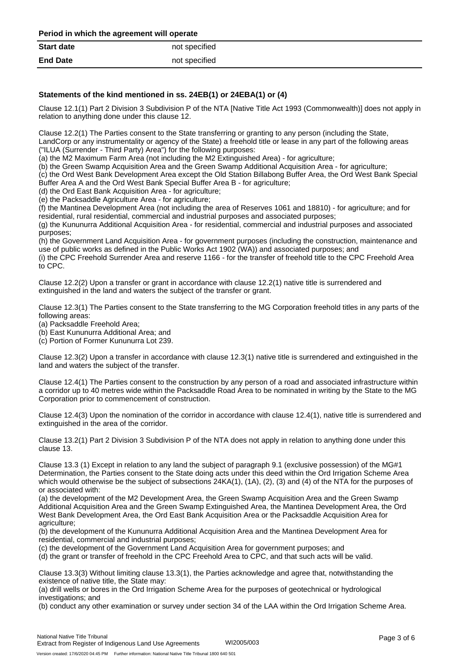| Period in which the agreement will operate |               |  |
|--------------------------------------------|---------------|--|
| <b>Start date</b>                          | not specified |  |
| <b>End Date</b>                            | not specified |  |

# **Statements of the kind mentioned in ss. 24EB(1) or 24EBA(1) or (4)**

Clause 12.1(1) Part 2 Division 3 Subdivision P of the NTA [Native Title Act 1993 (Commonwealth)] does not apply in relation to anything done under this clause 12.

Clause 12.2(1) The Parties consent to the State transferring or granting to any person (including the State, LandCorp or any instrumentality or agency of the State) a freehold title or lease in any part of the following areas ("ILUA (Surrender - Third Party) Area") for the following purposes:

(a) the M2 Maximum Farm Area (not including the M2 Extinguished Area) - for agriculture;

(b) the Green Swamp Acquisition Area and the Green Swamp Additional Acquisition Area - for agriculture;

(c) the Ord West Bank Development Area except the Old Station Billabong Buffer Area, the Ord West Bank Special Buffer Area A and the Ord West Bank Special Buffer Area B - for agriculture;

(d) the Ord East Bank Acquisition Area - for agriculture;

(e) the Packsaddle Agriculture Area - for agriculture;

(f) the Mantinea Development Area (not including the area of Reserves 1061 and 18810) - for agriculture; and for residential, rural residential, commercial and industrial purposes and associated purposes;

(g) the Kununurra Additional Acquisition Area - for residential, commercial and industrial purposes and associated purposes;

(h) the Government Land Acquisition Area - for government purposes (including the construction, maintenance and use of public works as defined in the Public Works Act 1902 (WA)) and associated purposes; and

(i) the CPC Freehold Surrender Area and reserve 1166 - for the transfer of freehold title to the CPC Freehold Area to CPC.

Clause 12.2(2) Upon a transfer or grant in accordance with clause 12.2(1) native title is surrendered and extinguished in the land and waters the subject of the transfer or grant.

Clause 12.3(1) The Parties consent to the State transferring to the MG Corporation freehold titles in any parts of the following areas:

(a) Packsaddle Freehold Area;

(b) East Kununurra Additional Area; and

(c) Portion of Former Kununurra Lot 239.

Clause 12.3(2) Upon a transfer in accordance with clause 12.3(1) native title is surrendered and extinguished in the land and waters the subject of the transfer.

Clause 12.4(1) The Parties consent to the construction by any person of a road and associated infrastructure within a corridor up to 40 metres wide within the Packsaddle Road Area to be nominated in writing by the State to the MG Corporation prior to commencement of construction.

Clause 12.4(3) Upon the nomination of the corridor in accordance with clause 12.4(1), native title is surrendered and extinguished in the area of the corridor.

Clause 13.2(1) Part 2 Division 3 Subdivision P of the NTA does not apply in relation to anything done under this clause 13.

Clause 13.3 (1) Except in relation to any land the subject of paragraph 9.1 (exclusive possession) of the MG#1 Determination, the Parties consent to the State doing acts under this deed within the Ord Irrigation Scheme Area which would otherwise be the subject of subsections 24KA(1), (1A), (2), (3) and (4) of the NTA for the purposes of or associated with:

(a) the development of the M2 Development Area, the Green Swamp Acquisition Area and the Green Swamp Additional Acquisition Area and the Green Swamp Extinguished Area, the Mantinea Development Area, the Ord West Bank Development Area, the Ord East Bank Acquisition Area or the Packsaddle Acquisition Area for agriculture;

(b) the development of the Kununurra Additional Acquisition Area and the Mantinea Development Area for residential, commercial and industrial purposes;

(c) the development of the Government Land Acquisition Area for government purposes; and

(d) the grant or transfer of freehold in the CPC Freehold Area to CPC, and that such acts will be valid.

Clause 13.3(3) Without limiting clause 13.3(1), the Parties acknowledge and agree that, notwithstanding the existence of native title, the State may:

(a) drill wells or bores in the Ord Irrigation Scheme Area for the purposes of geotechnical or hydrological investigations; and

(b) conduct any other examination or survey under section 34 of the LAA within the Ord Irrigation Scheme Area.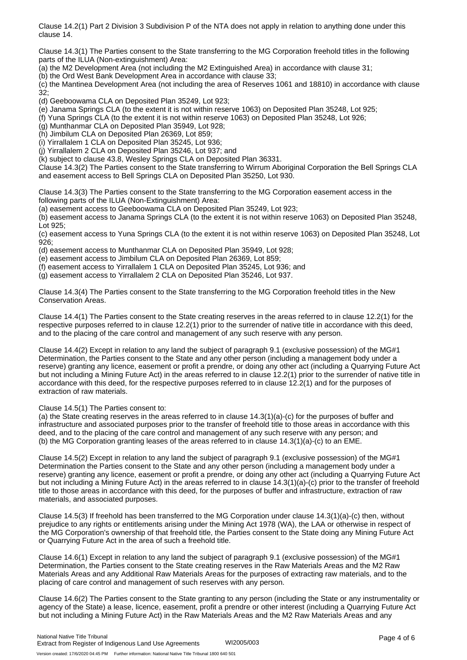Clause 14.2(1) Part 2 Division 3 Subdivision P of the NTA does not apply in relation to anything done under this clause 14.

Clause 14.3(1) The Parties consent to the State transferring to the MG Corporation freehold titles in the following parts of the ILUA (Non-extinguishment) Area:

(a) the M2 Development Area (not including the M2 Extinguished Area) in accordance with clause 31;

(b) the Ord West Bank Development Area in accordance with clause 33; (c) the Mantinea Development Area (not including the area of Reserves 1061 and 18810) in accordance with clause 32;

(d) Geeboowama CLA on Deposited Plan 35249, Lot 923;

(e) Janama Springs CLA (to the extent it is not within reserve 1063) on Deposited Plan 35248, Lot 925;

(f) Yuna Springs CLA (to the extent it is not within reserve 1063) on Deposited Plan 35248, Lot 926;

(g) Munthanmar CLA on Deposited Plan 35949, Lot 928;

(h) Jimbilum CLA on Deposited Plan 26369, Lot 859;

(i) Yirrallalem 1 CLA on Deposited Plan 35245, Lot 936;

(j) Yirrallalem 2 CLA on Deposited Plan 35246, Lot 937; and

(k) subject to clause 43.8, Wesley Springs CLA on Deposited Plan 36331.

Clause 14.3(2) The Parties consent to the State transferring to Wirrum Aboriginal Corporation the Bell Springs CLA and easement access to Bell Springs CLA on Deposited Plan 35250, Lot 930.

Clause 14.3(3) The Parties consent to the State transferring to the MG Corporation easement access in the following parts of the ILUA (Non-Extinguishment) Area:

(a) easement access to Geeboowama CLA on Deposited Plan 35249, Lot 923;

(b) easement access to Janama Springs CLA (to the extent it is not within reserve 1063) on Deposited Plan 35248, Lot 925;

(c) easement access to Yuna Springs CLA (to the extent it is not within reserve 1063) on Deposited Plan 35248, Lot  $926$ 

(d) easement access to Munthanmar CLA on Deposited Plan 35949, Lot 928;

(e) easement access to Jimbilum CLA on Deposited Plan 26369, Lot 859;

(f) easement access to Yirrallalem 1 CLA on Deposited Plan 35245, Lot 936; and

(g) easement access to Yirrallalem 2 CLA on Deposited Plan 35246, Lot 937.

Clause 14.3(4) The Parties consent to the State transferring to the MG Corporation freehold titles in the New Conservation Areas.

Clause 14.4(1) The Parties consent to the State creating reserves in the areas referred to in clause 12.2(1) for the respective purposes referred to in clause 12.2(1) prior to the surrender of native title in accordance with this deed, and to the placing of the care control and management of any such reserve with any person.

Clause 14.4(2) Except in relation to any land the subject of paragraph 9.1 (exclusive possession) of the MG#1 Determination, the Parties consent to the State and any other person (including a management body under a reserve) granting any licence, easement or profit a prendre, or doing any other act (including a Quarrying Future Act but not including a Mining Future Act) in the areas referred to in clause 12.2(1) prior to the surrender of native title in accordance with this deed, for the respective purposes referred to in clause 12.2(1) and for the purposes of extraction of raw materials.

Clause 14.5(1) The Parties consent to:

(a) the State creating reserves in the areas referred to in clause 14.3(1)(a)-(c) for the purposes of buffer and infrastructure and associated purposes prior to the transfer of freehold title to those areas in accordance with this deed, and to the placing of the care control and management of any such reserve with any person; and (b) the MG Corporation granting leases of the areas referred to in clause 14.3(1)(a)-(c) to an EME.

Clause 14.5(2) Except in relation to any land the subject of paragraph 9.1 (exclusive possession) of the MG#1 Determination the Parties consent to the State and any other person (including a management body under a reserve) granting any licence, easement or profit a prendre, or doing any other act (including a Quarrying Future Act but not including a Mining Future Act) in the areas referred to in clause 14.3(1)(a)-(c) prior to the transfer of freehold title to those areas in accordance with this deed, for the purposes of buffer and infrastructure, extraction of raw materials, and associated purposes.

Clause 14.5(3) If freehold has been transferred to the MG Corporation under clause 14.3(1)(a)-(c) then, without prejudice to any rights or entitlements arising under the Mining Act 1978 (WA), the LAA or otherwise in respect of the MG Corporation's ownership of that freehold title, the Parties consent to the State doing any Mining Future Act or Quarrying Future Act in the area of such a freehold title.

Clause 14.6(1) Except in relation to any land the subject of paragraph 9.1 (exclusive possession) of the MG#1 Determination, the Parties consent to the State creating reserves in the Raw Materials Areas and the M2 Raw Materials Areas and any Additional Raw Materials Areas for the purposes of extracting raw materials, and to the placing of care control and management of such reserves with any person.

Clause 14.6(2) The Parties consent to the State granting to any person (including the State or any instrumentality or agency of the State) a lease, licence, easement, profit a prendre or other interest (including a Quarrying Future Act but not including a Mining Future Act) in the Raw Materials Areas and the M2 Raw Materials Areas and any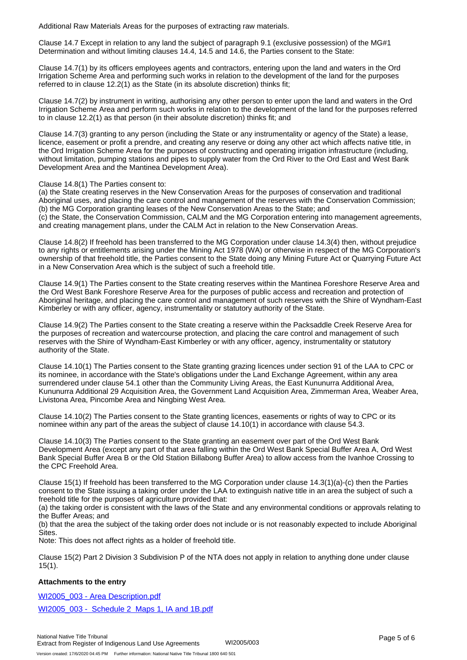Additional Raw Materials Areas for the purposes of extracting raw materials.

Clause 14.7 Except in relation to any land the subject of paragraph 9.1 (exclusive possession) of the MG#1 Determination and without limiting clauses 14.4, 14.5 and 14.6, the Parties consent to the State:

Clause 14.7(1) by its officers employees agents and contractors, entering upon the land and waters in the Ord Irrigation Scheme Area and performing such works in relation to the development of the land for the purposes referred to in clause 12.2(1) as the State (in its absolute discretion) thinks fit;

Clause 14.7(2) by instrument in writing, authorising any other person to enter upon the land and waters in the Ord Irrigation Scheme Area and perform such works in relation to the development of the land for the purposes referred to in clause 12.2(1) as that person (in their absolute discretion) thinks fit; and

Clause 14.7(3) granting to any person (including the State or any instrumentality or agency of the State) a lease, licence, easement or profit a prendre, and creating any reserve or doing any other act which affects native title, in the Ord Irrigation Scheme Area for the purposes of constructing and operating irrigation infrastructure (including, without limitation, pumping stations and pipes to supply water from the Ord River to the Ord East and West Bank Development Area and the Mantinea Development Area).

Clause 14.8(1) The Parties consent to:

(a) the State creating reserves in the New Conservation Areas for the purposes of conservation and traditional Aboriginal uses, and placing the care control and management of the reserves with the Conservation Commission; (b) the MG Corporation granting leases of the New Conservation Areas to the State; and (c) the State, the Conservation Commission, CALM and the MG Corporation entering into management agreements, and creating management plans, under the CALM Act in relation to the New Conservation Areas.

Clause 14.8(2) If freehold has been transferred to the MG Corporation under clause 14.3(4) then, without prejudice to any rights or entitlements arising under the Mining Act 1978 (WA) or otherwise in respect of the MG Corporation's ownership of that freehold title, the Parties consent to the State doing any Mining Future Act or Quarrying Future Act in a New Conservation Area which is the subject of such a freehold title.

Clause 14.9(1) The Parties consent to the State creating reserves within the Mantinea Foreshore Reserve Area and the Ord West Bank Foreshore Reserve Area for the purposes of public access and recreation and protection of Aboriginal heritage, and placing the care control and management of such reserves with the Shire of Wyndham-East Kimberley or with any officer, agency, instrumentality or statutory authority of the State.

Clause 14.9(2) The Parties consent to the State creating a reserve within the Packsaddle Creek Reserve Area for the purposes of recreation and watercourse protection, and placing the care control and management of such reserves with the Shire of Wyndham-East Kimberley or with any officer, agency, instrumentality or statutory authority of the State.

Clause 14.10(1) The Parties consent to the State granting grazing licences under section 91 of the LAA to CPC or its nominee, in accordance with the State's obligations under the Land Exchange Agreement, within any area surrendered under clause 54.1 other than the Community Living Areas, the East Kununurra Additional Area, Kununurra Additional 29 Acquisition Area, the Government Land Acquisition Area, Zimmerman Area, Weaber Area, Livistona Area, Pincombe Area and Ningbing West Area.

Clause 14.10(2) The Parties consent to the State granting licences, easements or rights of way to CPC or its nominee within any part of the areas the subject of clause 14.10(1) in accordance with clause 54.3.

Clause 14.10(3) The Parties consent to the State granting an easement over part of the Ord West Bank Development Area (except any part of that area falling within the Ord West Bank Special Buffer Area A, Ord West Bank Special Buffer Area B or the Old Station Billabong Buffer Area) to allow access from the Ivanhoe Crossing to the CPC Freehold Area.

Clause 15(1) If freehold has been transferred to the MG Corporation under clause 14.3(1)(a)-(c) then the Parties consent to the State issuing a taking order under the LAA to extinguish native title in an area the subject of such a freehold title for the purposes of agriculture provided that:

(a) the taking order is consistent with the laws of the State and any environmental conditions or approvals relating to the Buffer Areas; and

(b) that the area the subject of the taking order does not include or is not reasonably expected to include Aboriginal Sites.

Note: This does not affect rights as a holder of freehold title.

Clause 15(2) Part 2 Division 3 Subdivision P of the NTA does not apply in relation to anything done under clause 15(1).

# **Attachments to the entry**

[WI2005\\_003 - Area Description.pdf](http://www.nntt.gov.au/searchRegApps/NativeTitleRegisters/ILUA%20Register/2005/WI2005.003/WI2005_003%20-%20Area%20Description.pdf) [WI2005\\_003 - Schedule 2 Maps 1, IA and 1B.pdf](http://www.nntt.gov.au/searchRegApps/NativeTitleRegisters/ILUA%20Register/2005/WI2005.003/WI2005_003%20-%20%20Schedule%202%20%20Maps%201,%20IA%20and%201B.pdf)